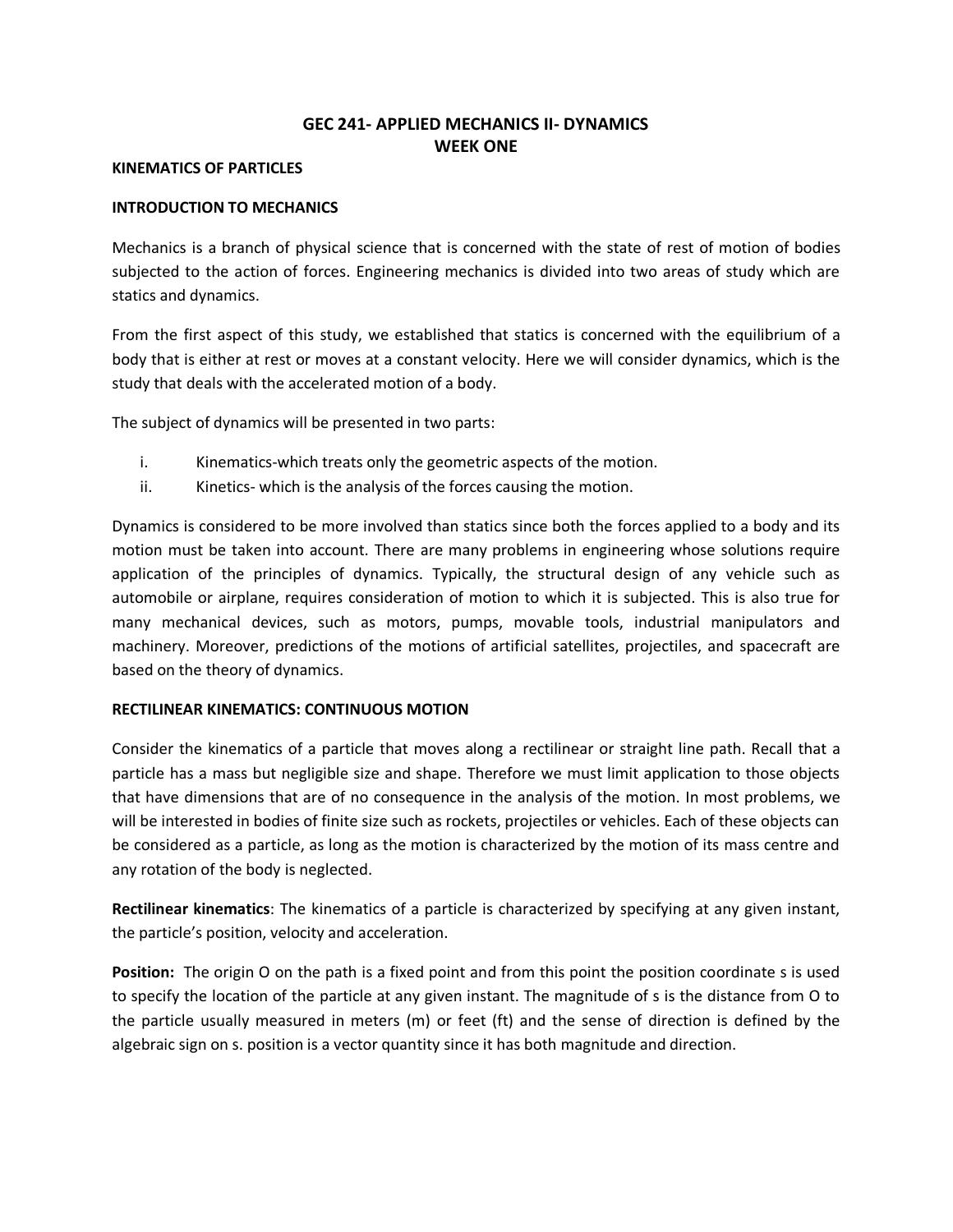# **GEC 241- APPLIED MECHANICS II- DYNAMICS WEEK ONE**

### **KINEMATICS OF PARTICLES**

# **INTRODUCTION TO MECHANICS**

Mechanics is a branch of physical science that is concerned with the state of rest of motion of bodies subjected to the action of forces. Engineering mechanics is divided into two areas of study which are statics and dynamics.

From the first aspect of this study, we established that statics is concerned with the equilibrium of a body that is either at rest or moves at a constant velocity. Here we will consider dynamics, which is the study that deals with the accelerated motion of a body.

The subject of dynamics will be presented in two parts:

- i. Kinematics-which treats only the geometric aspects of the motion.
- ii. Kinetics- which is the analysis of the forces causing the motion.

Dynamics is considered to be more involved than statics since both the forces applied to a body and its motion must be taken into account. There are many problems in engineering whose solutions require application of the principles of dynamics. Typically, the structural design of any vehicle such as automobile or airplane, requires consideration of motion to which it is subjected. This is also true for many mechanical devices, such as motors, pumps, movable tools, industrial manipulators and machinery. Moreover, predictions of the motions of artificial satellites, projectiles, and spacecraft are based on the theory of dynamics.

# **RECTILINEAR KINEMATICS: CONTINUOUS MOTION**

Consider the kinematics of a particle that moves along a rectilinear or straight line path. Recall that a particle has a mass but negligible size and shape. Therefore we must limit application to those objects that have dimensions that are of no consequence in the analysis of the motion. In most problems, we will be interested in bodies of finite size such as rockets, projectiles or vehicles. Each of these objects can be considered as a particle, as long as the motion is characterized by the motion of its mass centre and any rotation of the body is neglected.

**Rectilinear kinematics**: The kinematics of a particle is characterized by specifying at any given instant, the particle's position, velocity and acceleration.

**Position:** The origin O on the path is a fixed point and from this point the position coordinate s is used to specify the location of the particle at any given instant. The magnitude of s is the distance from O to the particle usually measured in meters (m) or feet (ft) and the sense of direction is defined by the algebraic sign on s. position is a vector quantity since it has both magnitude and direction.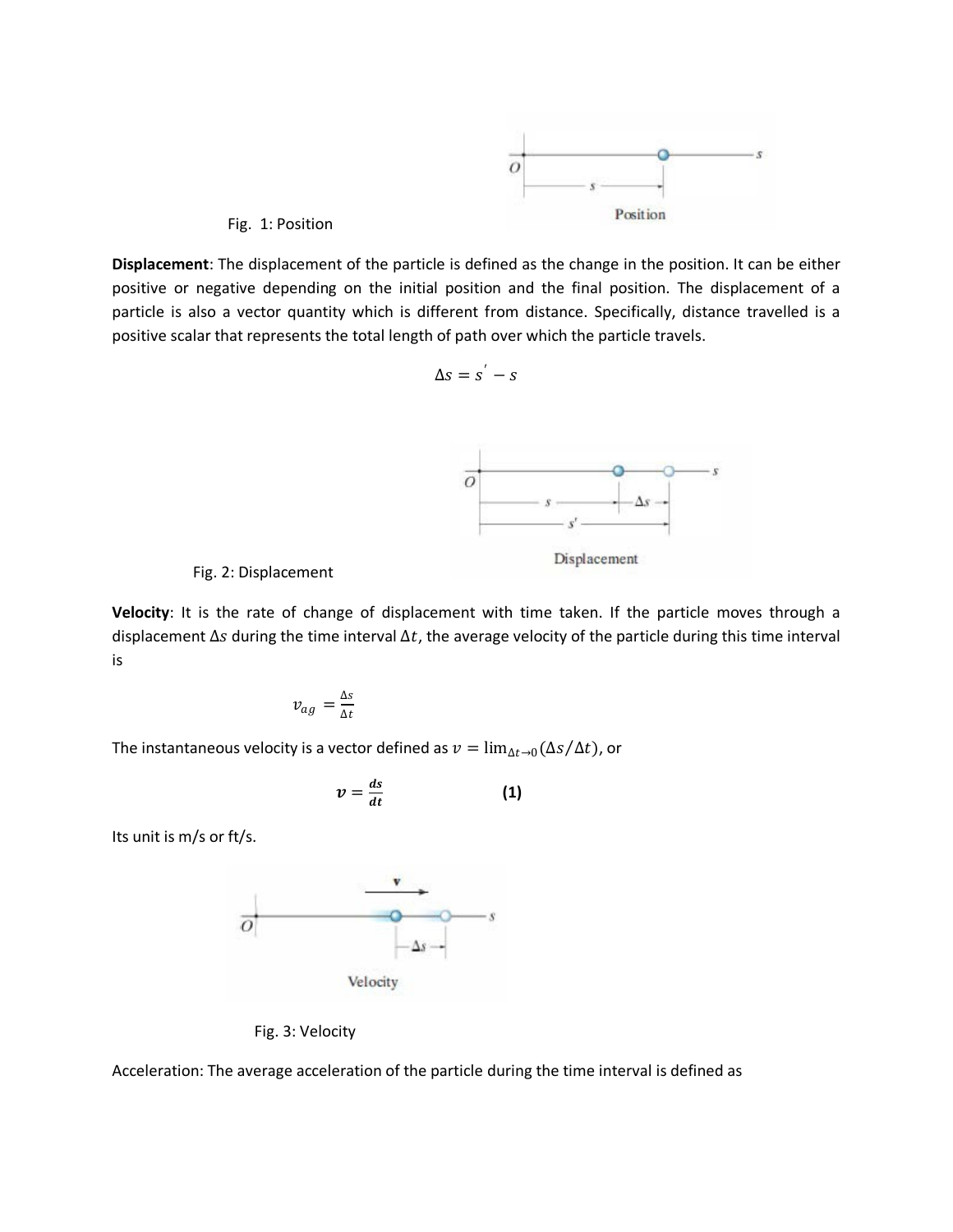

#### Fig. 1: Position

**Displacement**: The displacement of the particle is defined as the change in the position. It can be either positive or negative depending on the initial position and the final position. The displacement of a particle is also a vector quantity which is different from distance. Specifically, distance travelled is a positive scalar that represents the total length of path over which the particle travels.

$$
\Delta s = s^{'} - s
$$



#### Fig. 2: Displacement

**Velocity**: It is the rate of change of displacement with time taken. If the particle moves through a displacement  $\Delta s$  during the time interval  $\Delta t$ , the average velocity of the particle during this time interval is

$$
v_{ag} = \frac{\Delta s}{\Delta t}
$$

The instantaneous velocity is a vector defined as  $v = \lim_{\Delta t \to 0} (\Delta s / \Delta t)$ , or

$$
v=\frac{ds}{dt} \qquad \qquad (1)
$$

Its unit is m/s or ft/s.



Fig. 3: Velocity

Acceleration: The average acceleration of the particle during the time interval is defined as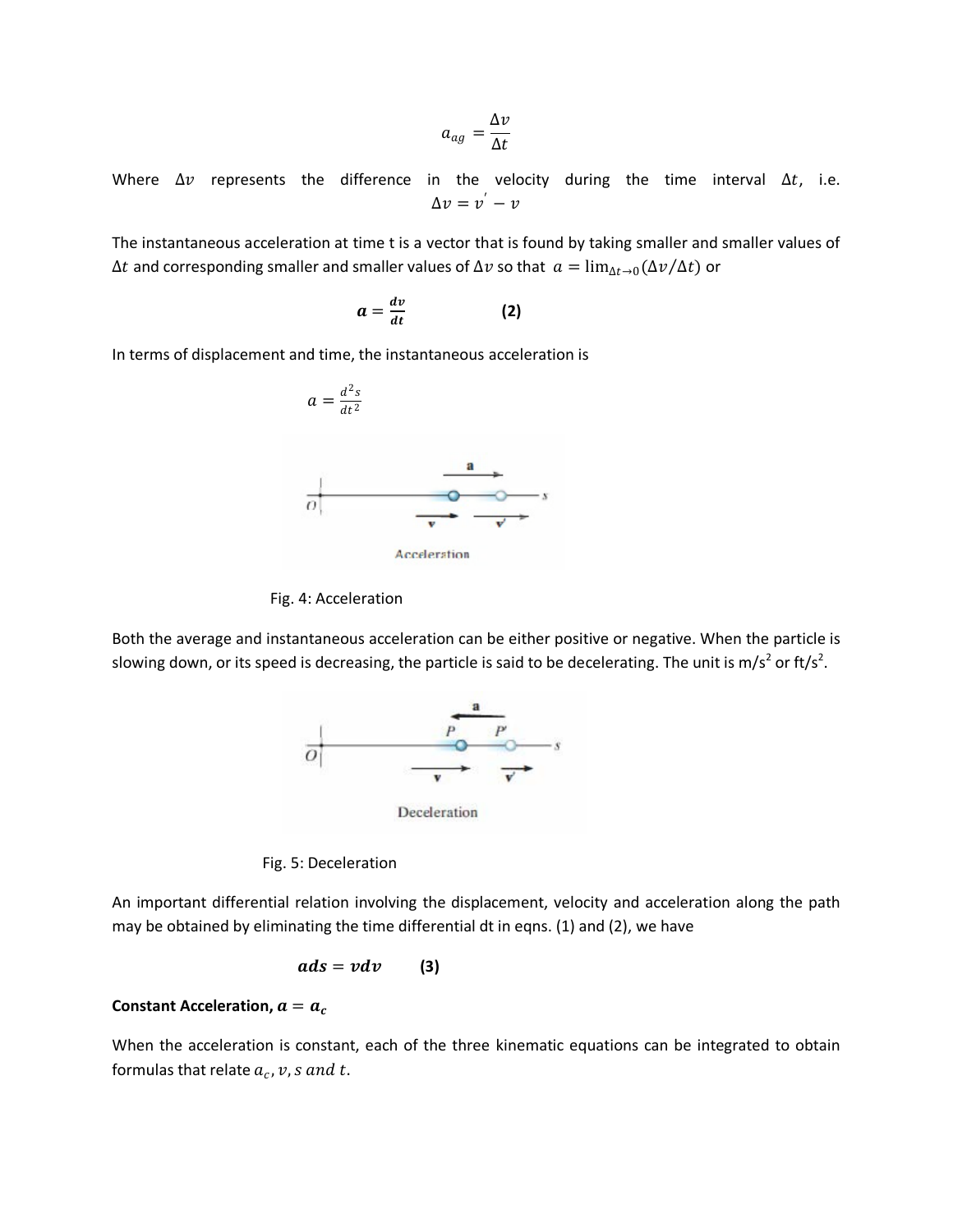$$
a_{ag}=\frac{\Delta v}{\Delta t}
$$

Where  $\Delta v$  represents the difference in the velocity during the time interval  $\Delta t$ , i.e.  $\Delta v = v^{'} - v$ 

The instantaneous acceleration at time t is a vector that is found by taking smaller and smaller values of  $\Delta t$  and corresponding smaller and smaller values of  $\Delta v$  so that  $a = \lim_{\Delta t \to 0} (\Delta v / \Delta t)$  or

$$
a=\frac{dv}{dt} \qquad \qquad (2)
$$

In terms of displacement and time, the instantaneous acceleration is





Fig. 4: Acceleration

Both the average and instantaneous acceleration can be either positive or negative. When the particle is slowing down, or its speed is decreasing, the particle is said to be decelerating. The unit is m/s<sup>2</sup> or ft/s<sup>2</sup>.



Deceleration

Fig. 5: Deceleration

An important differential relation involving the displacement, velocity and acceleration along the path may be obtained by eliminating the time differential dt in eqns. (1) and (2), we have

$$
ads = v dv \qquad (3)
$$

### **Constant Acceleration,**  $a = a_c$

When the acceleration is constant, each of the three kinematic equations can be integrated to obtain formulas that relate  $a_c$ ,  $v$ , s and t.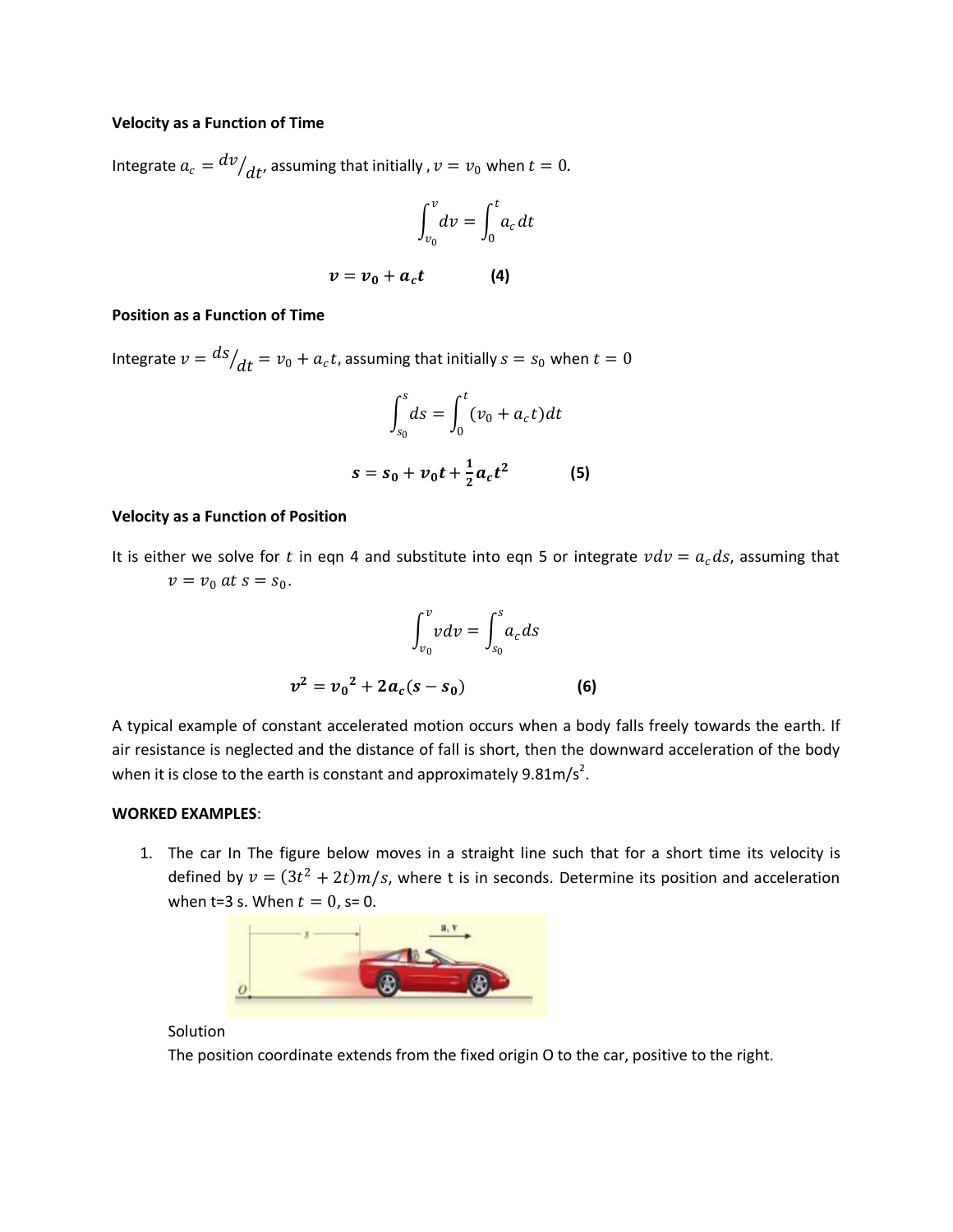#### **Velocity as a Function of Time**

Integrate  $a_c = \frac{dv}{dt}$ , assuming that initially ,  $v = v_0$  when  $t = 0$ .

$$
\int_{v_0}^v dv = \int_0^t a_c dt
$$

$$
v=v_0+a_ct \qquad \qquad (4)
$$

#### **Position as a Function of Time**

Integrate  $v = \frac{ds}{dt} = v_0 + a_c t$ , assuming that initially  $s = s_0$  when  $t = 0$ 

$$
\int_{s_0}^{s} ds = \int_0^t (\nu_0 + a_c t) dt
$$

$$
s = s_0 + \nu_0 t + \frac{1}{2} a_c t^2
$$
 (5)

#### **Velocity as a Function of Position**

It is either we solve for t in eqn 4 and substitute into eqn 5 or integrate  $vdv = a_c ds$ , assuming that  $v = v_0$  at  $s = s_0$ .

$$
\int_{v_0}^{v} v dv = \int_{s_0}^{s} a_c ds
$$

$$
v^2 = v_0^2 + 2a_c(s - s_0)
$$
 (6)

A typical example of constant accelerated motion occurs when a body falls freely towards the earth. If air resistance is neglected and the distance of fall is short, then the downward acceleration of the body when it is close to the earth is constant and approximately  $9.81 \text{m/s}^2$ .

### **WORKED EXAMPLES**:

1. The car In The figure below moves in a straight line such that for a short time its velocity is defined by  $v = (3t^2 + 2t)m/s$ , where t is in seconds. Determine its position and acceleration when t=3 s. When  $t = 0$ , s= 0.



### Solution

The position coordinate extends from the fixed origin O to the car, positive to the right.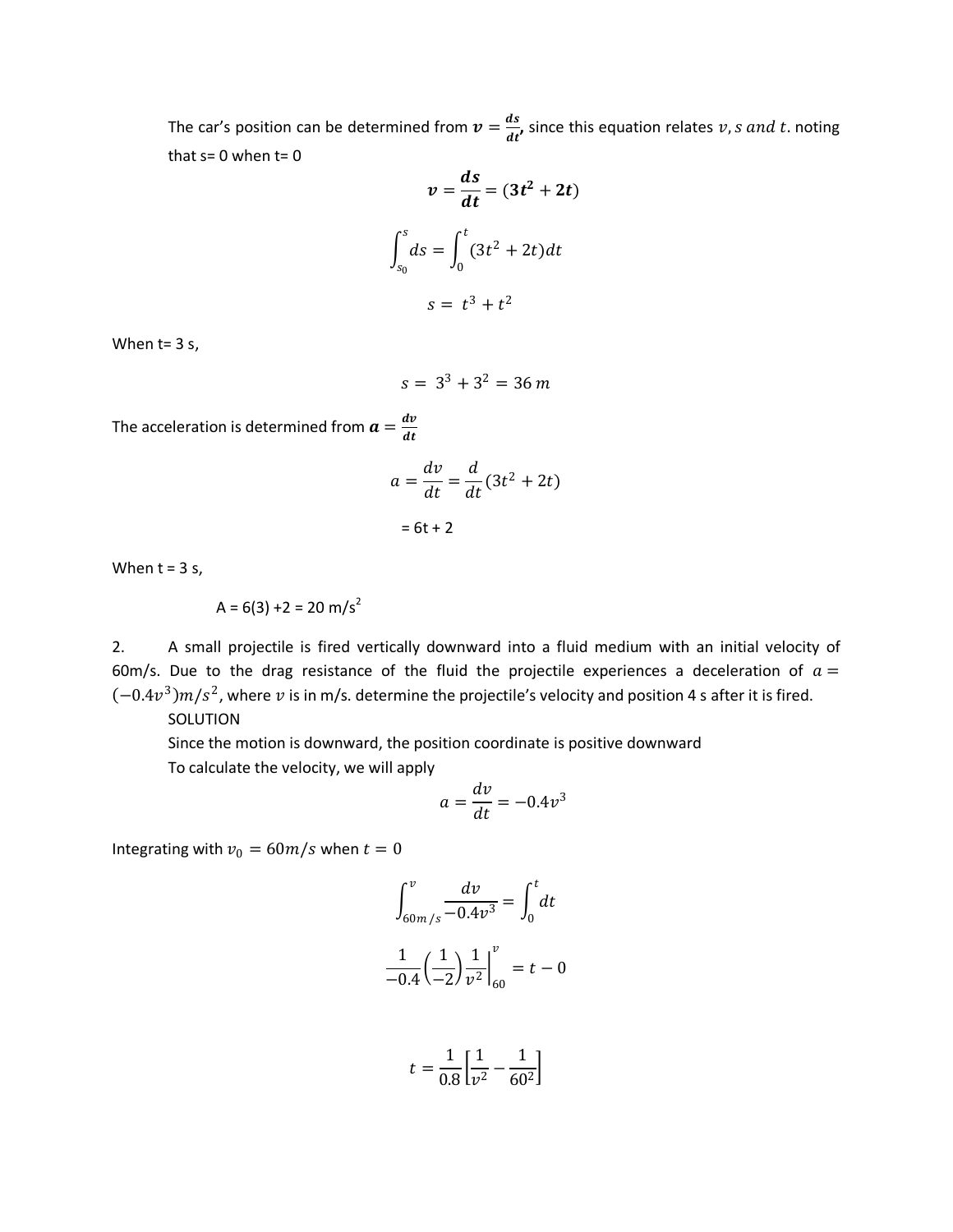The car's position can be determined from  $v = \frac{ds}{dt}$ , since this equation relates v, s and t. noting that  $s=0$  when  $t=0$ 

$$
v = \frac{ds}{dt} = (3t^2 + 2t)
$$

$$
\int_{s_0}^{s} ds = \int_0^t (3t^2 + 2t)dt
$$

$$
s = t^3 + t^2
$$

When t= 3 s,

$$
s = 3^3 + 3^2 = 36 \, m
$$

The acceleration is determined from  $a=\frac{dv}{dt}$ 

$$
a = \frac{dv}{dt} = \frac{d}{dt}(3t^2 + 2t)
$$

 $= 6t + 2$ 

When  $t = 3$  s,

$$
A = 6(3) + 2 = 20 \text{ m/s}^2
$$

2. A small projectile is fired vertically downward into a fluid medium with an initial velocity of 60m/s. Due to the drag resistance of the fluid the projectile experiences a deceleration of  $a =$  $(-0.4v^3)m/s^2$ , where v is in m/s. determine the projectile's velocity and position 4 s after it is fired.

SOLUTION

Since the motion is downward, the position coordinate is positive downward To calculate the velocity, we will apply

$$
a = \frac{dv}{dt} = -0.4v^3
$$

Integrating with  $v_0 = 60m/s$  when  $t = 0$ 

$$
\int_{60m/s}^{v} \frac{dv}{-0.4v^3} = \int_{0}^{t} dt
$$

$$
\frac{1}{-0.4} \left(\frac{1}{-2}\right) \frac{1}{v^2} \Big|_{60}^{v} = t - 0
$$

$$
t = \frac{1}{0.8} \left[ \frac{1}{v^2} - \frac{1}{60^2} \right]
$$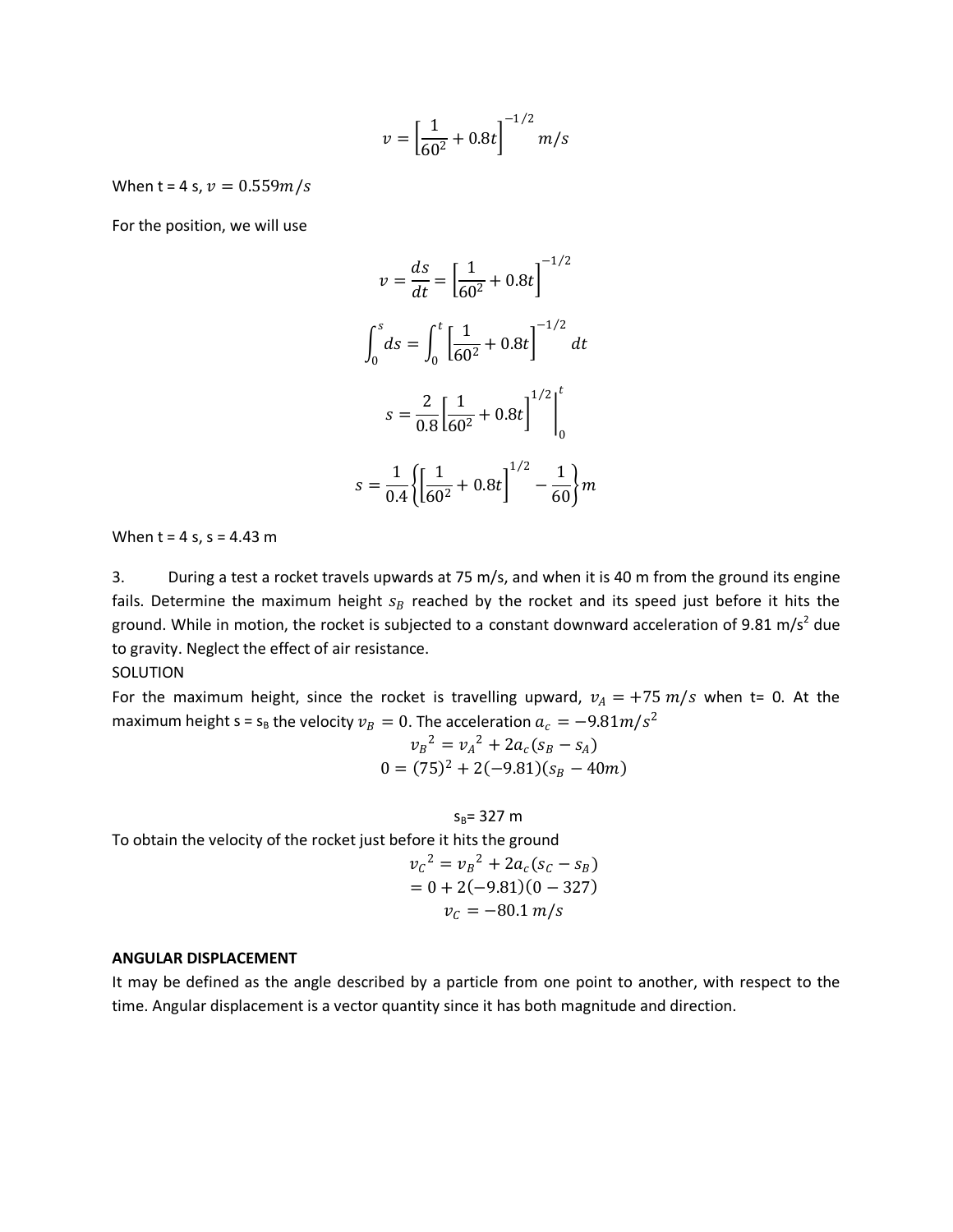$$
v = \left[\frac{1}{60^2} + 0.8t\right]^{-1/2} m/s
$$

When t = 4 s,  $v = 0.559m/s$ 

For the position, we will use

$$
v = \frac{ds}{dt} = \left[\frac{1}{60^2} + 0.8t\right]^{-1/2}
$$

$$
\int_0^s ds = \int_0^t \left[\frac{1}{60^2} + 0.8t\right]^{-1/2} dt
$$

$$
s = \frac{2}{0.8} \left[\frac{1}{60^2} + 0.8t\right]^{1/2} \Big|_0^t
$$

$$
s = \frac{1}{0.4} \left\{ \left[\frac{1}{60^2} + 0.8t\right]^{1/2} - \frac{1}{60} \right\} m
$$

When  $t = 4 s$ ,  $s = 4.43 m$ 

3. During a test a rocket travels upwards at 75 m/s, and when it is 40 m from the ground its engine fails. Determine the maximum height  $s_B$  reached by the rocket and its speed just before it hits the ground. While in motion, the rocket is subjected to a constant downward acceleration of 9.81 m/s<sup>2</sup> due to gravity. Neglect the effect of air resistance.

**SOLUTION** 

For the maximum height, since the rocket is travelling upward,  $v_A = +75$   $m/s$  when t= 0. At the maximum height s =  $s_B$  the velocity  $v_B = 0$ . The acceleration  $a_c = -9.81 m/s^2$ 

$$
v_B^2 = v_A^2 + 2a_c(s_B - s_A)
$$
  
0 = (75)<sup>2</sup> + 2(-9.81)(s\_B - 40m)

 $S_B = 327 m$ 

To obtain the velocity of the rocket just before it hits the ground

$$
v_C^2 = v_B^2 + 2a_C(s_C - s_B)
$$
  
= 0 + 2(-9.81)(0 - 327)  

$$
v_C = -80.1 \, m/s
$$

### **ANGULAR DISPLACEMENT**

It may be defined as the angle described by a particle from one point to another, with respect to the time. Angular displacement is a vector quantity since it has both magnitude and direction.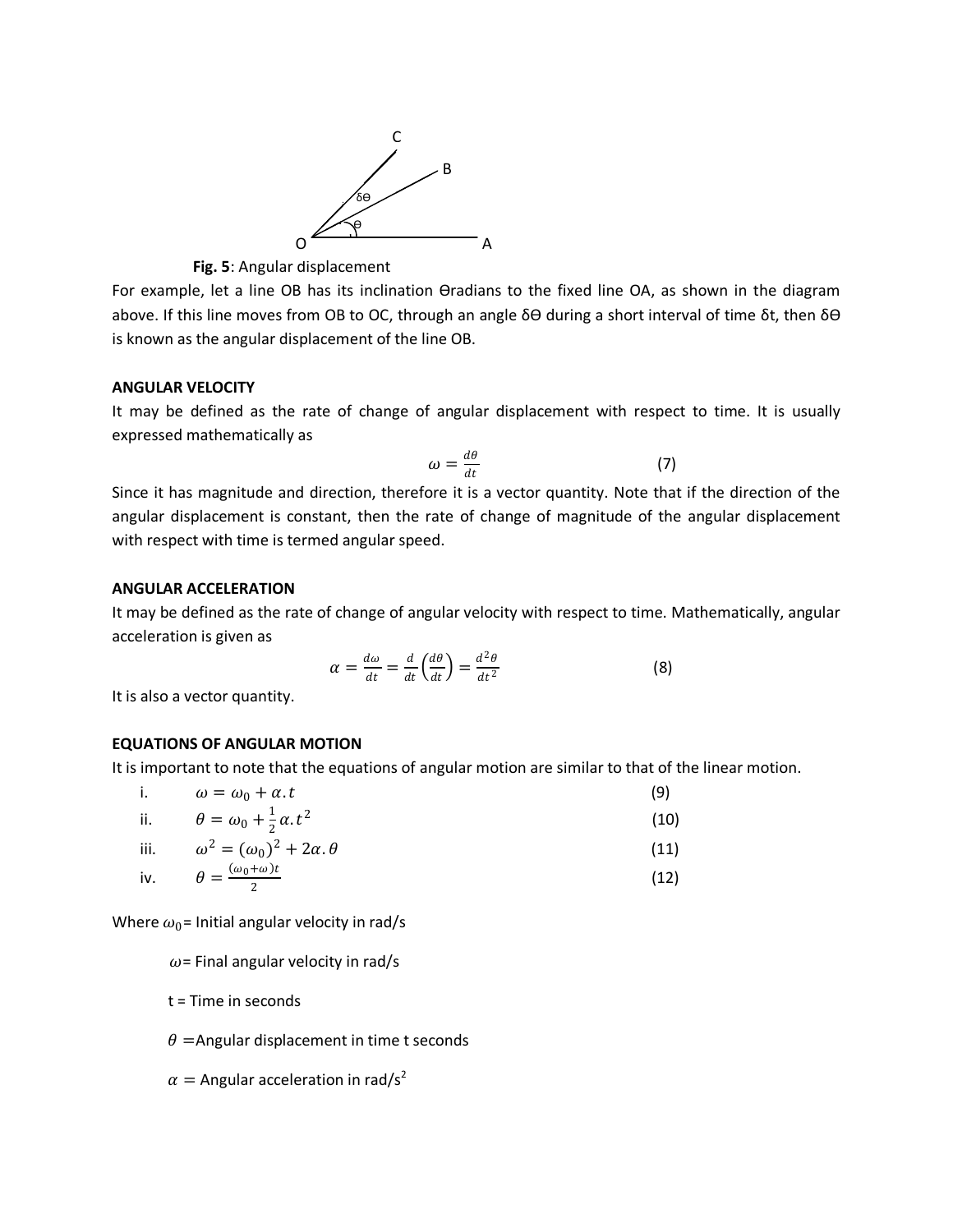

 **Fig. 5**: Angular displacement

For example, let a line OB has its inclination ϴradians to the fixed line OA, as shown in the diagram above. If this line moves from OB to OC, through an angle δϴ during a short interval of time δt, then δϴ is known as the angular displacement of the line OB.

# **ANGULAR VELOCITY**

It may be defined as the rate of change of angular displacement with respect to time. It is usually expressed mathematically as

$$
\omega = \frac{d\theta}{dt} \tag{7}
$$

Since it has magnitude and direction, therefore it is a vector quantity. Note that if the direction of the angular displacement is constant, then the rate of change of magnitude of the angular displacement with respect with time is termed angular speed.

# **ANGULAR ACCELERATION**

It may be defined as the rate of change of angular velocity with respect to time. Mathematically, angular acceleration is given as

$$
\alpha = \frac{d\omega}{dt} = \frac{d}{dt} \left( \frac{d\theta}{dt} \right) = \frac{d^2 \theta}{dt^2}
$$
 (8)

It is also a vector quantity.

# **EQUATIONS OF ANGULAR MOTION**

It is important to note that the equations of angular motion are similar to that of the linear motion.

| i.  | $\omega = \omega_0 + \alpha \cdot t$            | (9)  |
|-----|-------------------------------------------------|------|
| ii. | $\theta = \omega_0 + \frac{1}{2} \alpha t^2$    | (10) |
|     | iii. $\omega^2 = (\omega_0)^2 + 2\alpha \theta$ | (11) |
|     | iv. $\theta = \frac{(\omega_0 + \omega)t}{2}$   | (12) |

Where  $\omega_0$ = Initial angular velocity in rad/s

 $\omega$ = Final angular velocity in rad/s

t = Time in seconds

 $\theta$  =Angular displacement in time t seconds

$$
\alpha = \text{Angular acceleration in } \text{rad/s}^2
$$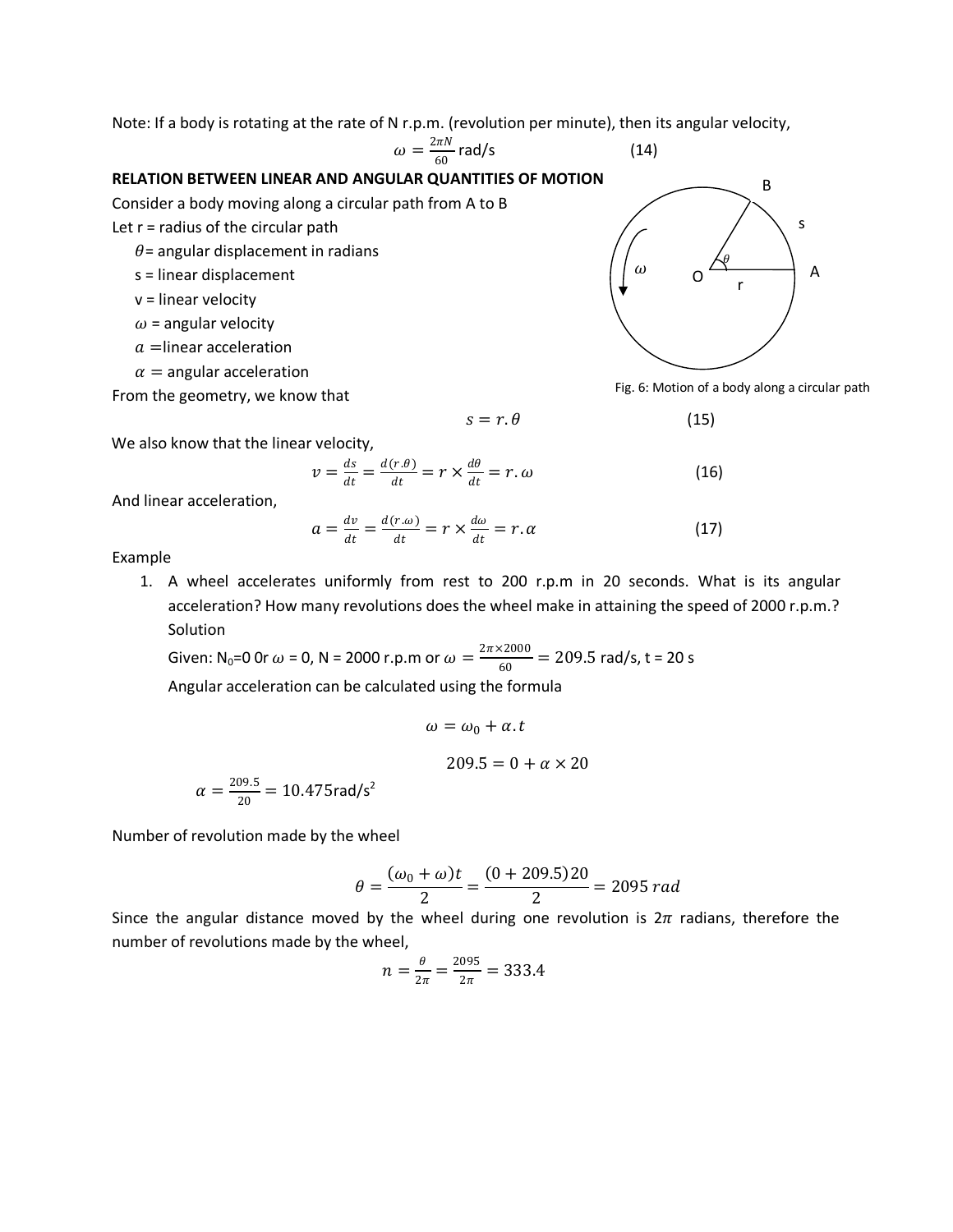Note: If a body is rotating at the rate of N r.p.m. (revolution per minute), then its angular velocity,

$$
\omega = \frac{2\pi N}{60} \text{ rad/s} \tag{14}
$$

### **RELATION BETWEEN LINEAR AND ANGULAR QUANTITIES OF MOTION**

Consider a body moving along a circular path from A to B

Let  $r =$  radius of the circular path

 $\theta$  = angular displacement in radians

- s = linear displacement
- v = linear velocity
- $\omega$  = angular velocity
- $a=$ linear acceleration
- $\alpha$  = angular acceleration

From the geometry, we know that



Fig. 6: Motion of a body along a circular path

$$
s = r.\theta \tag{15}
$$

$$
(15)
$$

We also know that the linear velocity,

$$
v = \frac{ds}{dt} = \frac{d(r.\theta)}{dt} = r \times \frac{d\theta}{dt} = r.\omega
$$
 (16)

And linear acceleration,

$$
a = \frac{dv}{dt} = \frac{d(r.\omega)}{dt} = r \times \frac{d\omega}{dt} = r.\alpha
$$
 (17)

Example

1. A wheel accelerates uniformly from rest to 200 r.p.m in 20 seconds. What is its angular acceleration? How many revolutions does the wheel make in attaining the speed of 2000 r.p.m.? Solution

Given: N<sub>0</sub>=0 0r  $\omega$  = 0, N = 2000 r.p.m or  $\omega = \frac{2\pi \times 2000}{60} = 209.5$  rad/s, t = 20 s Angular acceleration can be calculated using the formula

$$
\omega = \omega_0 + \alpha \cdot t
$$

$$
209.5 = 0 + \alpha
$$

Number of revolution made by the wheel

 $\alpha = \frac{209.5}{20} = 10.475$ rad/s<sup>2</sup>

$$
\theta = \frac{(\omega_0 + \omega)t}{2} = \frac{(0 + 209.5)20}{2} = 2095 \ rad
$$

 $\times$  20

Since the angular distance moved by the wheel during one revolution is  $2\pi$  radians, therefore the number of revolutions made by the wheel,

$$
n = \frac{\theta}{2\pi} = \frac{2095}{2\pi} = 333.4
$$